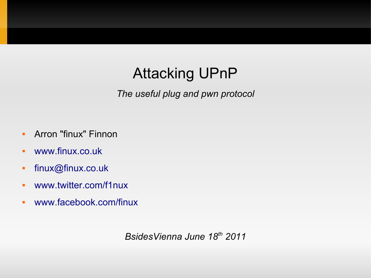### Attacking UPnP

*The useful plug and pwn protocol*

- **-** Arron "finux" Finnon
- [www.finux.co.uk](http://www.finux.co.uk/)
- $\blacksquare$ [finux@finux.co.uk](mailto:finux@finux.co.uk)
- [www.twitter.com/f1nux](http://www.twitter.com/f1nux)
- [www.facebook.com/finux](http://www.facebook.com/finux)

*BsidesVienna June 18th 2011*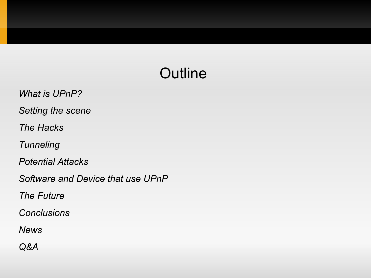### **Outline**

- *What is UPnP?*
- *Setting the scene*
- *The Hacks*
- *Tunneling*
- *Potential Attacks*
- *Software and Device that use UPnP*
- *The Future*
- *Conclusions*
- *News*
- *Q&A*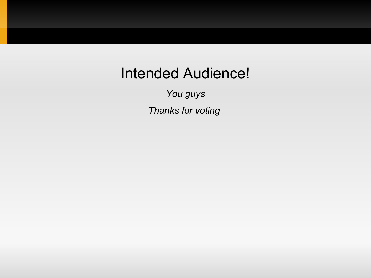#### Intended Audience!

*You guys Thanks for voting*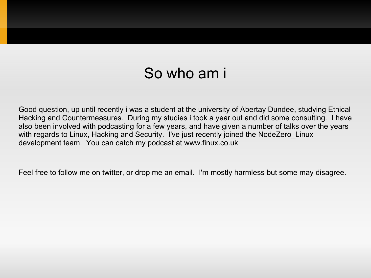#### So who am i

Good question, up until recently i was a student at the university of Abertay Dundee, studying Ethical Hacking and Countermeasures. During my studies i took a year out and did some consulting. I have also been involved with podcasting for a few years, and have given a number of talks over the years with regards to Linux, Hacking and Security. I've just recently joined the NodeZero\_Linux development team. You can catch my podcast at www.finux.co.uk

Feel free to follow me on twitter, or drop me an email. I'm mostly harmless but some may disagree.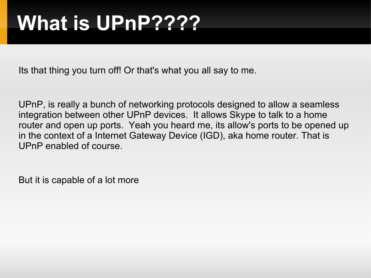## **What is UPnP????**

Its that thing you turn off! Or that's what you all say to me.

UPnP, is really a bunch of networking protocols designed to allow a seamless integration between other UPnP devices. It allows Skype to talk to a home router and open up ports. Yeah you heard me, its allow's ports to be opened up in the context of a Internet Gateway Device (IGD), aka home router. That is UPnP enabled of course.

But it is capable of a lot more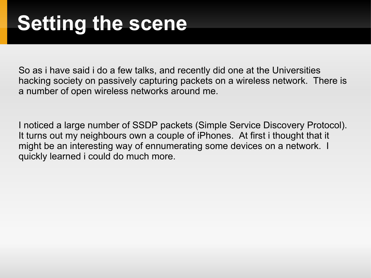So as i have said i do a few talks, and recently did one at the Universities hacking society on passively capturing packets on a wireless network. There is a number of open wireless networks around me.

I noticed a large number of SSDP packets (Simple Service Discovery Protocol). It turns out my neighbours own a couple of iPhones. At first i thought that it might be an interesting way of ennumerating some devices on a network. I quickly learned i could do much more.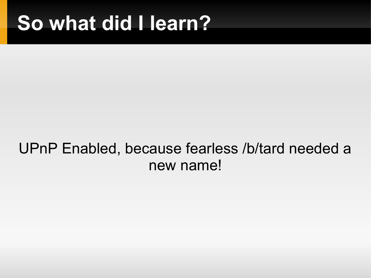### **So what did I learn?**

#### UPnP Enabled, because fearless /b/tard needed a new name!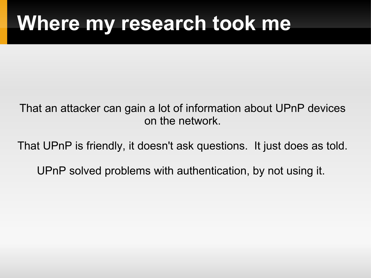### **Where my research took me**

That an attacker can gain a lot of information about UPnP devices on the network.

That UPnP is friendly, it doesn't ask questions. It just does as told.

UPnP solved problems with authentication, by not using it.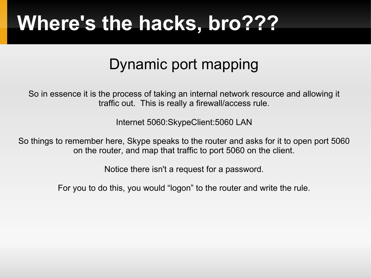### Dynamic port mapping

So in essence it is the process of taking an internal network resource and allowing it traffic out. This is really a firewall/access rule.

Internet 5060:SkypeClient:5060 LAN

So things to remember here, Skype speaks to the router and asks for it to open port 5060 on the router, and map that traffic to port 5060 on the client.

Notice there isn't a request for a password.

For you to do this, you would "logon" to the router and write the rule.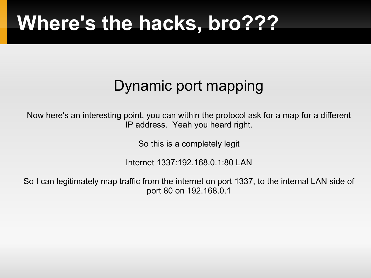### Dynamic port mapping

Now here's an interesting point, you can within the protocol ask for a map for a different IP address. Yeah you heard right.

So this is a completely legit

Internet 1337:192.168.0.1:80 LAN

So I can legitimately map traffic from the internet on port 1337, to the internal LAN side of port 80 on 192.168.0.1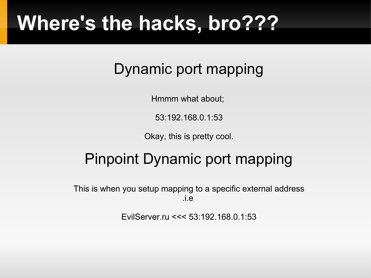### Dynamic port mapping

Hmmm what about;

53:192.168.0.1:53

Okay, this is pretty cool.

### Pinpoint Dynamic port mapping

This is when you setup mapping to a specific external address .i.e

EvilServer.ru <<< 53:192.168.0.1:53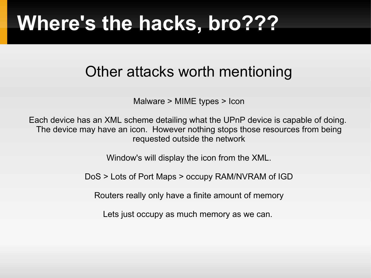#### Other attacks worth mentioning

Malware > MIME types > Icon

Each device has an XML scheme detailing what the UPnP device is capable of doing. The device may have an icon. However nothing stops those resources from being requested outside the network

Window's will display the icon from the XML.

DoS > Lots of Port Maps > occupy RAM/NVRAM of IGD

Routers really only have a finite amount of memory

Lets just occupy as much memory as we can.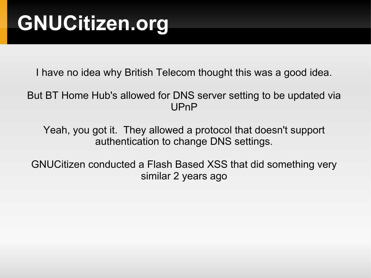## **GNUCitizen.org**

I have no idea why British Telecom thought this was a good idea.

But BT Home Hub's allowed for DNS server setting to be updated via UPnP

Yeah, you got it. They allowed a protocol that doesn't support authentication to change DNS settings.

GNUCitizen conducted a Flash Based XSS that did something very similar 2 years ago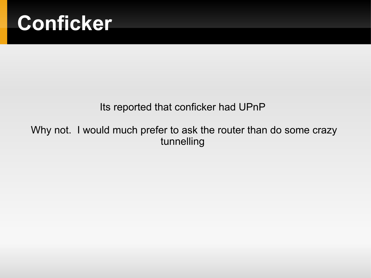

#### Its reported that conficker had UPnP

Why not. I would much prefer to ask the router than do some crazy tunnelling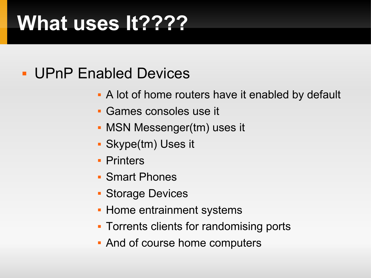### **What uses It????**

#### **- UPnP Enabled Devices**

- **A** lot of home routers have it enabled by default
- Games consoles use it
- **MSN Messenger(tm) uses it**
- Skype(tm) Uses it
- **Printers**
- Smart Phones
- **Storage Devices**
- **Home entrainment systems**
- **Torrents clients for randomising ports**
- And of course home computers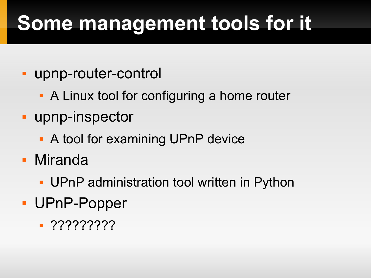# **Some management tools for it**

- upnp-router-control
	- A Linux tool for configuring a home router
- **upnp-inspector** 
	- A tool for examining UPnP device
- Miranda
	- **UPnP administration tool written in Python**
- UPnP-Popper
	- ?????????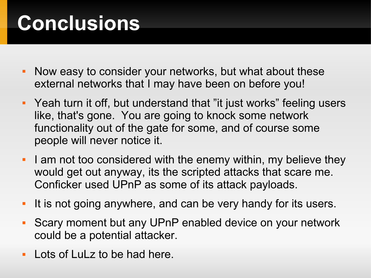# **Conclusions**

- Now easy to consider your networks, but what about these external networks that I may have been on before you!
- Yeah turn it off, but understand that "it just works" feeling users like, that's gone. You are going to knock some network functionality out of the gate for some, and of course some people will never notice it.
- I am not too considered with the enemy within, my believe they would get out anyway, its the scripted attacks that scare me. Conficker used UPnP as some of its attack payloads.
- $\blacksquare$ It is not going anywhere, and can be very handy for its users.
- Scary moment but any UPnP enabled device on your network could be a potential attacker.
- **Lots of LuLz to be had here.**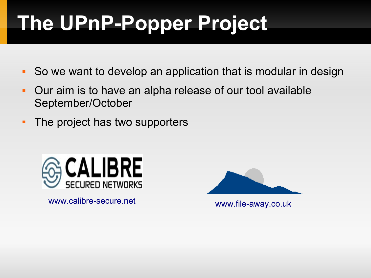# **The UPnP-Popper Project**

- So we want to develop an application that is modular in design
- Our aim is to have an alpha release of our tool available September/October
- The project has two supporters



[www.calibre-secure.net](http://www.calibre-secure.net/) [www.file-away.co.uk](http://www.file-away.co.uk/)

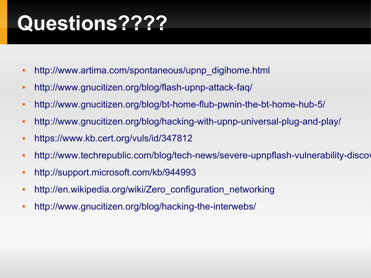## **Questions????**

- [http://www.artima.com/spontaneous/upnp\\_digihome.html](http://www.artima.com/spontaneous/upnp_digihome.html)
- <http://www.gnucitizen.org/blog/flash-upnp-attack-faq/>
- <http://www.gnucitizen.org/blog/bt-home-flub-pwnin-the-bt-home-hub-5/>
- <http://www.gnucitizen.org/blog/hacking-with-upnp-universal-plug-and-play/>
- <https://www.kb.cert.org/vuls/id/347812>
- http://www.techrepublic.com/blog/tech-news/severe-upnpflash-vulnerability-discov
- <http://support.microsoft.com/kb/944993>
- http://en.wikipedia.org/wiki/Zero configuration networking
- <http://www.gnucitizen.org/blog/hacking-the-interwebs/>